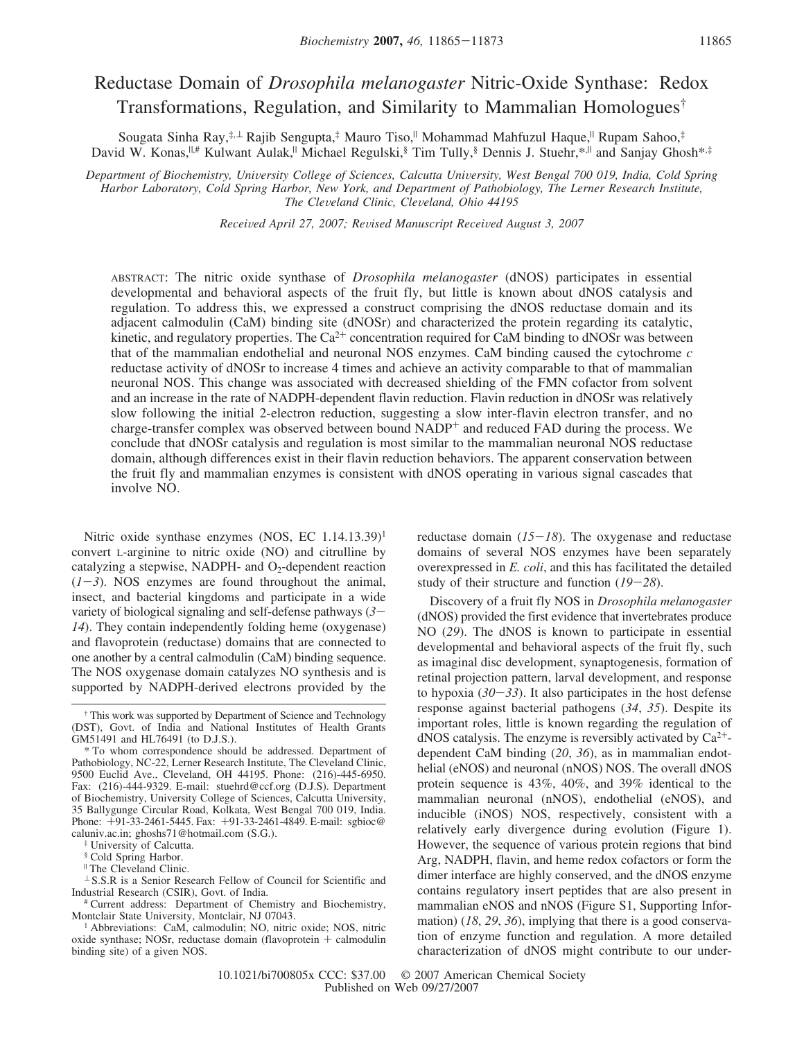# Reductase Domain of *Drosophila melanogaster* Nitric-Oxide Synthase: Redox Transformations, Regulation, and Similarity to Mammalian Homologues†

Sougata Sinha Ray,<sup>‡,⊥</sup> Rajib Sengupta,<sup>‡</sup> Mauro Tiso,<sup>||</sup> Mohammad Mahfuzul Haque,<sup>||</sup> Rupam Sahoo,<sup>‡</sup> David W. Konas,<sup> $||$ #</sup> Kulwant Aulak,<sup>||</sup> Michael Regulski, Tim Tully, Dennis J. Stuehr, \*,<sup>||</sup> and Sanjay Ghosh\*,<sup>‡</sup>

*Department of Biochemistry, Uni*V*ersity College of Sciences, Calcutta Uni*V*ersity, West Bengal 700 019, India, Cold Spring Harbor Laboratory, Cold Spring Harbor, New York, and Department of Pathobiology, The Lerner Research Institute, The Cle*V*eland Clinic, Cle*V*eland, Ohio 44195*

*Recei*V*ed April 27, 2007; Re*V*ised Manuscript Recei*V*ed August 3, 2007*

ABSTRACT: The nitric oxide synthase of *Drosophila melanogaster* (dNOS) participates in essential developmental and behavioral aspects of the fruit fly, but little is known about dNOS catalysis and regulation. To address this, we expressed a construct comprising the dNOS reductase domain and its adjacent calmodulin (CaM) binding site (dNOSr) and characterized the protein regarding its catalytic, kinetic, and regulatory properties. The  $Ca^{2+}$  concentration required for CaM binding to dNOSr was between that of the mammalian endothelial and neuronal NOS enzymes. CaM binding caused the cytochrome *c* reductase activity of dNOSr to increase 4 times and achieve an activity comparable to that of mammalian neuronal NOS. This change was associated with decreased shielding of the FMN cofactor from solvent and an increase in the rate of NADPH-dependent flavin reduction. Flavin reduction in dNOSr was relatively slow following the initial 2-electron reduction, suggesting a slow inter-flavin electron transfer, and no charge-transfer complex was observed between bound NADP<sup>+</sup> and reduced FAD during the process. We conclude that dNOSr catalysis and regulation is most similar to the mammalian neuronal NOS reductase domain, although differences exist in their flavin reduction behaviors. The apparent conservation between the fruit fly and mammalian enzymes is consistent with dNOS operating in various signal cascades that involve NO.

Nitric oxide synthase enzymes (NOS, EC  $1.14.13.39$ )<sup>1</sup> convert L-arginine to nitric oxide (NO) and citrulline by catalyzing a stepwise, NADPH- and  $O<sub>2</sub>$ -dependent reaction  $(1-3)$ . NOS enzymes are found throughout the animal, insect, and bacterial kingdoms and participate in a wide variety of biological signaling and self-defense pathways (*3*- *14*). They contain independently folding heme (oxygenase) and flavoprotein (reductase) domains that are connected to one another by a central calmodulin (CaM) binding sequence. The NOS oxygenase domain catalyzes NO synthesis and is supported by NADPH-derived electrons provided by the

‡ University of Calcutta.

§ Cold Spring Harbor.

<sup>|</sup> The Cleveland Clinic.

 $\perp$  S.S.R is a Senior Research Fellow of Council for Scientific and Industrial Research (CSIR), Govt. of India.

# Current address: Department of Chemistry and Biochemistry, Montclair State University, Montclair, NJ 07043.

reductase domain (*15*-*18*). The oxygenase and reductase domains of several NOS enzymes have been separately overexpressed in *E. coli*, and this has facilitated the detailed study of their structure and function (*19*-*28*).

Discovery of a fruit fly NOS in *Drosophila melanogaster* (dNOS) provided the first evidence that invertebrates produce NO (*29*). The dNOS is known to participate in essential developmental and behavioral aspects of the fruit fly, such as imaginal disc development, synaptogenesis, formation of retinal projection pattern, larval development, and response to hypoxia  $(30-33)$ . It also participates in the host defense response against bacterial pathogens (*34*, *35*). Despite its important roles, little is known regarding the regulation of  $dNOS$  catalysis. The enzyme is reversibly activated by  $Ca^{2+}$ dependent CaM binding (*20*, *36*), as in mammalian endothelial (eNOS) and neuronal (nNOS) NOS. The overall dNOS protein sequence is 43%, 40%, and 39% identical to the mammalian neuronal (nNOS), endothelial (eNOS), and inducible (iNOS) NOS, respectively, consistent with a relatively early divergence during evolution (Figure 1). However, the sequence of various protein regions that bind Arg, NADPH, flavin, and heme redox cofactors or form the dimer interface are highly conserved, and the dNOS enzyme contains regulatory insert peptides that are also present in mammalian eNOS and nNOS (Figure S1, Supporting Information) (*18*, *29*, *36*), implying that there is a good conservation of enzyme function and regulation. A more detailed characterization of dNOS might contribute to our under-

<sup>†</sup> This work was supported by Department of Science and Technology (DST), Govt. of India and National Institutes of Health Grants GM51491 and HL76491 (to D.J.S.).

<sup>\*</sup> To whom correspondence should be addressed. Department of Pathobiology, NC-22, Lerner Research Institute, The Cleveland Clinic, 9500 Euclid Ave., Cleveland, OH 44195. Phone: (216)-445-6950. Fax: (216)-444-9329. E-mail: stuehrd@ccf.org (D.J.S). Department of Biochemistry, University College of Sciences, Calcutta University, 35 Ballygunge Circular Road, Kolkata, West Bengal 700 019, India. Phone: +91-33-2461-5445. Fax: +91-33-2461-4849. E-mail: sgbioc@ caluniv.ac.in; ghoshs71@hotmail.com (S.G.).

<sup>1</sup> Abbreviations: CaM, calmodulin; NO, nitric oxide; NOS, nitric oxide synthase; NOSr, reductase domain (flavoprotein + calmodulin binding site) of a given NOS.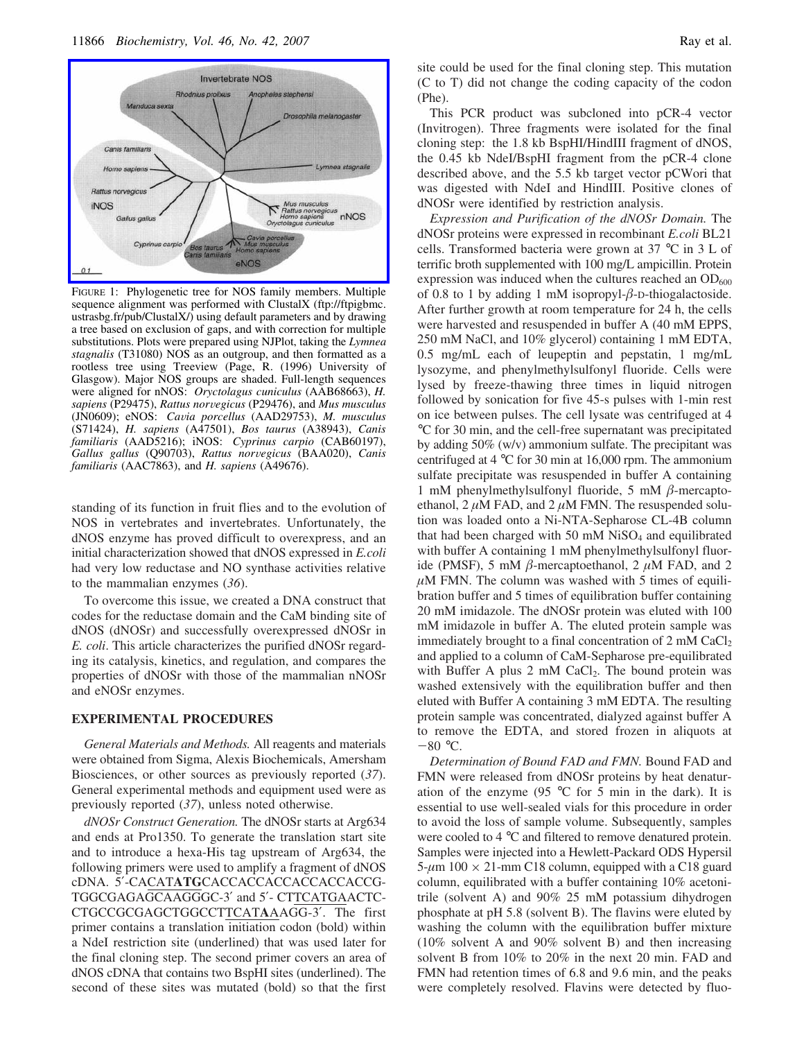

FIGURE 1: Phylogenetic tree for NOS family members. Multiple sequence alignment was performed with ClustalX (ftp://ftpigbmc. ustrasbg.fr/pub/ClustalX/) using default parameters and by drawing a tree based on exclusion of gaps, and with correction for multiple substitutions. Plots were prepared using NJPlot, taking the *Lymnea stagnalis* (T31080) NOS as an outgroup, and then formatted as a rootless tree using Treeview (Page, R. (1996) University of Glasgow). Major NOS groups are shaded. Full-length sequences were aligned for nNOS: *Oryctolagus cuniculus* (AAB68663), *H. sapiens* (P29475), *Rattus norvegicus* (P29476), and *Mus musculus* (JN0609); eNOS: *Ca*V*ia porcellus* (AAD29753), *M. musculus* (S71424), *H. sapiens* (A47501), *Bos taurus* (A38943), *Canis familiaris* (AAD5216); iNOS: *Cyprinus carpio* (CAB60197), *Gallus gallus* (Q90703), *Rattus nor*V*egicus* (BAA020), *Canis familiaris* (AAC7863), and *H. sapiens* (A49676).

standing of its function in fruit flies and to the evolution of NOS in vertebrates and invertebrates. Unfortunately, the dNOS enzyme has proved difficult to overexpress, and an initial characterization showed that dNOS expressed in *E.coli* had very low reductase and NO synthase activities relative to the mammalian enzymes (*36*).

To overcome this issue, we created a DNA construct that codes for the reductase domain and the CaM binding site of dNOS (dNOSr) and successfully overexpressed dNOSr in *E. coli*. This article characterizes the purified dNOSr regarding its catalysis, kinetics, and regulation, and compares the properties of dNOSr with those of the mammalian nNOSr and eNOSr enzymes.

#### **EXPERIMENTAL PROCEDURES**

*General Materials and Methods.* All reagents and materials were obtained from Sigma, Alexis Biochemicals, Amersham Biosciences, or other sources as previously reported (*37*). General experimental methods and equipment used were as previously reported (*37*), unless noted otherwise.

*dNOSr Construct Generation.* The dNOSr starts at Arg634 and ends at Pro1350. To generate the translation start site and to introduce a hexa-His tag upstream of Arg634, the following primers were used to amplify a fragment of dNOS cDNA. 5′-CACAT**ATG**CACCACCACCACCACCACCG-TGGCGAGAGCAAGGGC-3′ and 5′- CTTCATGAACTC-CTGCCGCGAGCTGGCCTTCAT**A**AAGG-3′. The first primer contains a translation initiation codon (bold) within a NdeI restriction site (underlined) that was used later for the final cloning step. The second primer covers an area of dNOS cDNA that contains two BspHI sites (underlined). The second of these sites was mutated (bold) so that the first

site could be used for the final cloning step. This mutation (C to T) did not change the coding capacity of the codon (Phe).

This PCR product was subcloned into pCR-4 vector (Invitrogen). Three fragments were isolated for the final cloning step: the 1.8 kb BspHI/HindIII fragment of dNOS, the 0.45 kb NdeI/BspHI fragment from the pCR-4 clone described above, and the 5.5 kb target vector pCWori that was digested with NdeI and HindIII. Positive clones of dNOSr were identified by restriction analysis.

*Expression and Purification of the dNOSr Domain.* The dNOSr proteins were expressed in recombinant *E.coli* BL21 cells. Transformed bacteria were grown at 37 °C in 3 L of terrific broth supplemented with 100 mg/L ampicillin. Protein expression was induced when the cultures reached an  $OD_{600}$ of 0.8 to 1 by adding 1 mM isopropyl- $\beta$ -D-thiogalactoside. After further growth at room temperature for 24 h, the cells were harvested and resuspended in buffer A (40 mM EPPS, 250 mM NaCl, and 10% glycerol) containing 1 mM EDTA, 0.5 mg/mL each of leupeptin and pepstatin, 1 mg/mL lysozyme, and phenylmethylsulfonyl fluoride. Cells were lysed by freeze-thawing three times in liquid nitrogen followed by sonication for five 45-s pulses with 1-min rest on ice between pulses. The cell lysate was centrifuged at 4 °C for 30 min, and the cell-free supernatant was precipitated by adding 50% (w/v) ammonium sulfate. The precipitant was centrifuged at 4 °C for 30 min at 16,000 rpm. The ammonium sulfate precipitate was resuspended in buffer A containing 1 mM phenylmethylsulfonyl fluoride, 5 mM  $\beta$ -mercaptoethanol,  $2 \mu M$  FAD, and  $2 \mu M$  FMN. The resuspended solution was loaded onto a Ni-NTA-Sepharose CL-4B column that had been charged with  $50 \text{ mM NiSO}_4$  and equilibrated with buffer A containing 1 mM phenylmethylsulfonyl fluoride (PMSF), 5 mM  $\beta$ -mercaptoethanol, 2  $\mu$ M FAD, and 2  $\mu$ M FMN. The column was washed with 5 times of equilibration buffer and 5 times of equilibration buffer containing 20 mM imidazole. The dNOSr protein was eluted with 100 mM imidazole in buffer A. The eluted protein sample was immediately brought to a final concentration of  $2 \text{ mM } CaCl<sub>2</sub>$ and applied to a column of CaM-Sepharose pre-equilibrated with Buffer A plus 2 mM  $CaCl<sub>2</sub>$ . The bound protein was washed extensively with the equilibration buffer and then eluted with Buffer A containing 3 mM EDTA. The resulting protein sample was concentrated, dialyzed against buffer A to remove the EDTA, and stored frozen in aliquots at  $-80$  °C.

*Determination of Bound FAD and FMN.* Bound FAD and FMN were released from dNOSr proteins by heat denaturation of the enzyme (95  $\degree$ C for 5 min in the dark). It is essential to use well-sealed vials for this procedure in order to avoid the loss of sample volume. Subsequently, samples were cooled to 4 °C and filtered to remove denatured protein. Samples were injected into a Hewlett-Packard ODS Hypersil  $5-\mu$ m 100  $\times$  21-mm C18 column, equipped with a C18 guard column, equilibrated with a buffer containing 10% acetonitrile (solvent A) and 90% 25 mM potassium dihydrogen phosphate at pH 5.8 (solvent B). The flavins were eluted by washing the column with the equilibration buffer mixture (10% solvent A and 90% solvent B) and then increasing solvent B from 10% to 20% in the next 20 min. FAD and FMN had retention times of 6.8 and 9.6 min, and the peaks were completely resolved. Flavins were detected by fluo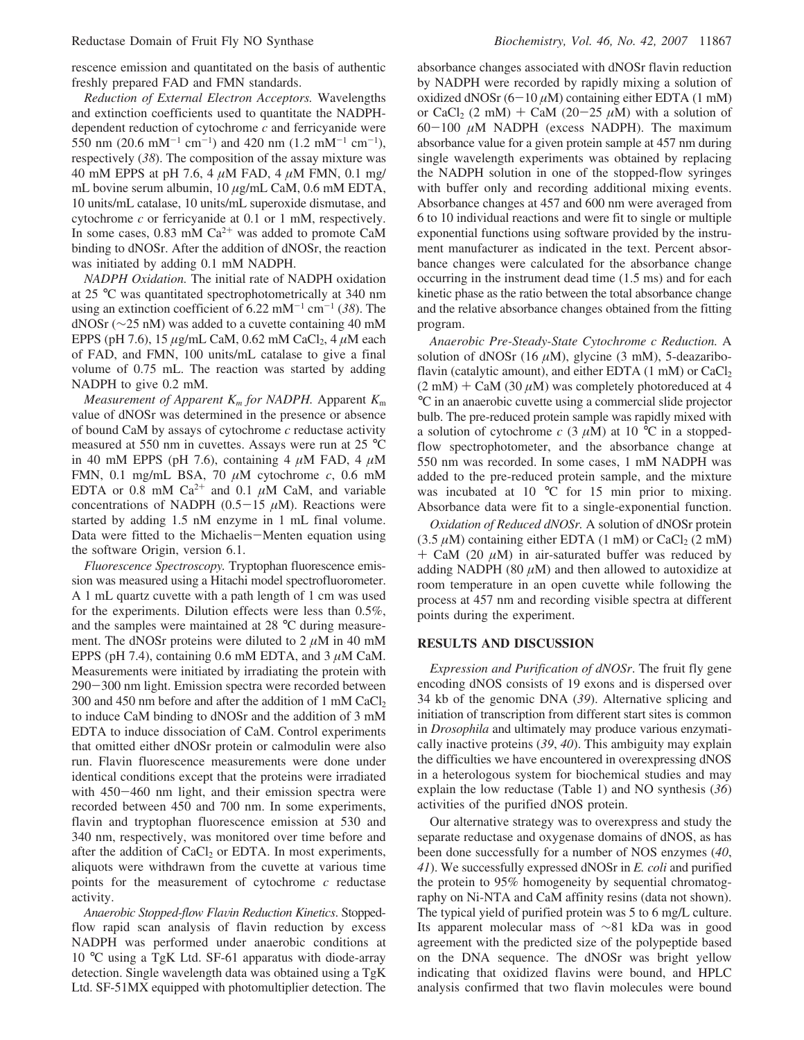rescence emission and quantitated on the basis of authentic freshly prepared FAD and FMN standards.

*Reduction of External Electron Acceptors.* Wavelengths and extinction coefficients used to quantitate the NADPHdependent reduction of cytochrome *c* and ferricyanide were 550 nm (20.6 mM<sup>-1</sup> cm<sup>-1</sup>) and 420 nm (1.2 mM<sup>-1</sup> cm<sup>-1</sup>), respectively (*38*). The composition of the assay mixture was 40 mM EPPS at pH 7.6, 4  $\mu$ M FAD, 4  $\mu$ M FMN, 0.1 mg/ mL bovine serum albumin,  $10 \mu g/mL$  CaM, 0.6 mM EDTA, 10 units/mL catalase, 10 units/mL superoxide dismutase, and cytochrome *c* or ferricyanide at 0.1 or 1 mM, respectively. In some cases,  $0.83$  mM Ca<sup>2+</sup> was added to promote CaM binding to dNOSr. After the addition of dNOSr, the reaction was initiated by adding 0.1 mM NADPH.

*NADPH Oxidation.* The initial rate of NADPH oxidation at 25 °C was quantitated spectrophotometrically at 340 nm using an extinction coefficient of 6.22 mM-<sup>1</sup> cm-<sup>1</sup> (*38*). The dNOSr (∼25 nM) was added to a cuvette containing 40 mM EPPS (pH 7.6), 15  $\mu$ g/mL CaM, 0.62 mM CaCl<sub>2</sub>, 4  $\mu$ M each of FAD, and FMN, 100 units/mL catalase to give a final volume of 0.75 mL. The reaction was started by adding NADPH to give 0.2 mM.

*Measurement of Apparent K<sup>m</sup> for NADPH.* Apparent *K*<sup>m</sup> value of dNOSr was determined in the presence or absence of bound CaM by assays of cytochrome *c* reductase activity measured at 550 nm in cuvettes. Assays were run at 25 °C in 40 mM EPPS (pH 7.6), containing 4  $\mu$ M FAD, 4  $\mu$ M FMN, 0.1 mg/mL BSA, 70 µM cytochrome *c*, 0.6 mM EDTA or 0.8 mM  $Ca^{2+}$  and 0.1  $\mu$ M CaM, and variable concentrations of NADPH  $(0.5-15 \mu M)$ . Reactions were started by adding 1.5 nM enzyme in 1 mL final volume. Data were fitted to the Michaelis-Menten equation using the software Origin, version 6.1.

*Fluorescence Spectroscopy.* Tryptophan fluorescence emission was measured using a Hitachi model spectrofluorometer. A 1 mL quartz cuvette with a path length of 1 cm was used for the experiments. Dilution effects were less than 0.5%, and the samples were maintained at 28 °C during measurement. The dNOSr proteins were diluted to  $2 \mu M$  in 40 mM EPPS (pH 7.4), containing 0.6 mM EDTA, and 3  $\mu$ M CaM. Measurements were initiated by irradiating the protein with 290-300 nm light. Emission spectra were recorded between 300 and 450 nm before and after the addition of 1 mM CaCl<sup>2</sup> to induce CaM binding to dNOSr and the addition of 3 mM EDTA to induce dissociation of CaM. Control experiments that omitted either dNOSr protein or calmodulin were also run. Flavin fluorescence measurements were done under identical conditions except that the proteins were irradiated with 450-460 nm light, and their emission spectra were recorded between 450 and 700 nm. In some experiments, flavin and tryptophan fluorescence emission at 530 and 340 nm, respectively, was monitored over time before and after the addition of  $CaCl<sub>2</sub>$  or EDTA. In most experiments, aliquots were withdrawn from the cuvette at various time points for the measurement of cytochrome *c* reductase activity.

*Anaerobic Stopped-flow Fla*V*in Reduction Kinetics*. Stoppedflow rapid scan analysis of flavin reduction by excess NADPH was performed under anaerobic conditions at 10 °C using a TgK Ltd. SF-61 apparatus with diode-array detection. Single wavelength data was obtained using a TgK Ltd. SF-51MX equipped with photomultiplier detection. The

absorbance changes associated with dNOSr flavin reduction by NADPH were recorded by rapidly mixing a solution of oxidized dNOSr  $(6-10 \mu M)$  containing either EDTA (1 mM) or CaCl<sub>2</sub> (2 mM) + CaM (20-25  $\mu$ M) with a solution of  $60-100 \mu M$  NADPH (excess NADPH). The maximum absorbance value for a given protein sample at 457 nm during single wavelength experiments was obtained by replacing the NADPH solution in one of the stopped-flow syringes with buffer only and recording additional mixing events. Absorbance changes at 457 and 600 nm were averaged from 6 to 10 individual reactions and were fit to single or multiple exponential functions using software provided by the instrument manufacturer as indicated in the text. Percent absorbance changes were calculated for the absorbance change occurring in the instrument dead time (1.5 ms) and for each kinetic phase as the ratio between the total absorbance change and the relative absorbance changes obtained from the fitting program.

*Anaerobic Pre-Steady-State Cytochrome c Reduction.* A solution of dNOSr (16  $\mu$ M), glycine (3 mM), 5-deazariboflavin (catalytic amount), and either EDTA  $(1 \text{ mM})$  or  $CaCl<sub>2</sub>$  $(2 \text{ mM}) + \text{CaM} (30 \mu \text{M})$  was completely photoreduced at 4 °C in an anaerobic cuvette using a commercial slide projector bulb. The pre-reduced protein sample was rapidly mixed with a solution of cytochrome  $c$  (3  $\mu$ M) at 10 °C in a stoppedflow spectrophotometer, and the absorbance change at 550 nm was recorded. In some cases, 1 mM NADPH was added to the pre-reduced protein sample, and the mixture was incubated at 10 °C for 15 min prior to mixing. Absorbance data were fit to a single-exponential function.

*Oxidation of Reduced dNOSr.* A solution of dNOSr protein  $(3.5 \,\mu\text{M})$  containing either EDTA  $(1 \text{ mM})$  or CaCl<sub>2</sub>  $(2 \text{ mM})$  $+$  CaM (20  $\mu$ M) in air-saturated buffer was reduced by adding NADPH (80  $\mu$ M) and then allowed to autoxidize at room temperature in an open cuvette while following the process at 457 nm and recording visible spectra at different points during the experiment.

## **RESULTS AND DISCUSSION**

*Expression and Purification of dNOSr*. The fruit fly gene encoding dNOS consists of 19 exons and is dispersed over 34 kb of the genomic DNA (*39*). Alternative splicing and initiation of transcription from different start sites is common in *Drosophila* and ultimately may produce various enzymatically inactive proteins (*39*, *40*). This ambiguity may explain the difficulties we have encountered in overexpressing dNOS in a heterologous system for biochemical studies and may explain the low reductase (Table 1) and NO synthesis (*36*) activities of the purified dNOS protein.

Our alternative strategy was to overexpress and study the separate reductase and oxygenase domains of dNOS, as has been done successfully for a number of NOS enzymes (*40*, *41*). We successfully expressed dNOSr in *E. coli* and purified the protein to 95% homogeneity by sequential chromatography on Ni-NTA and CaM affinity resins (data not shown). The typical yield of purified protein was 5 to 6 mg/L culture. Its apparent molecular mass of ∼81 kDa was in good agreement with the predicted size of the polypeptide based on the DNA sequence. The dNOSr was bright yellow indicating that oxidized flavins were bound, and HPLC analysis confirmed that two flavin molecules were bound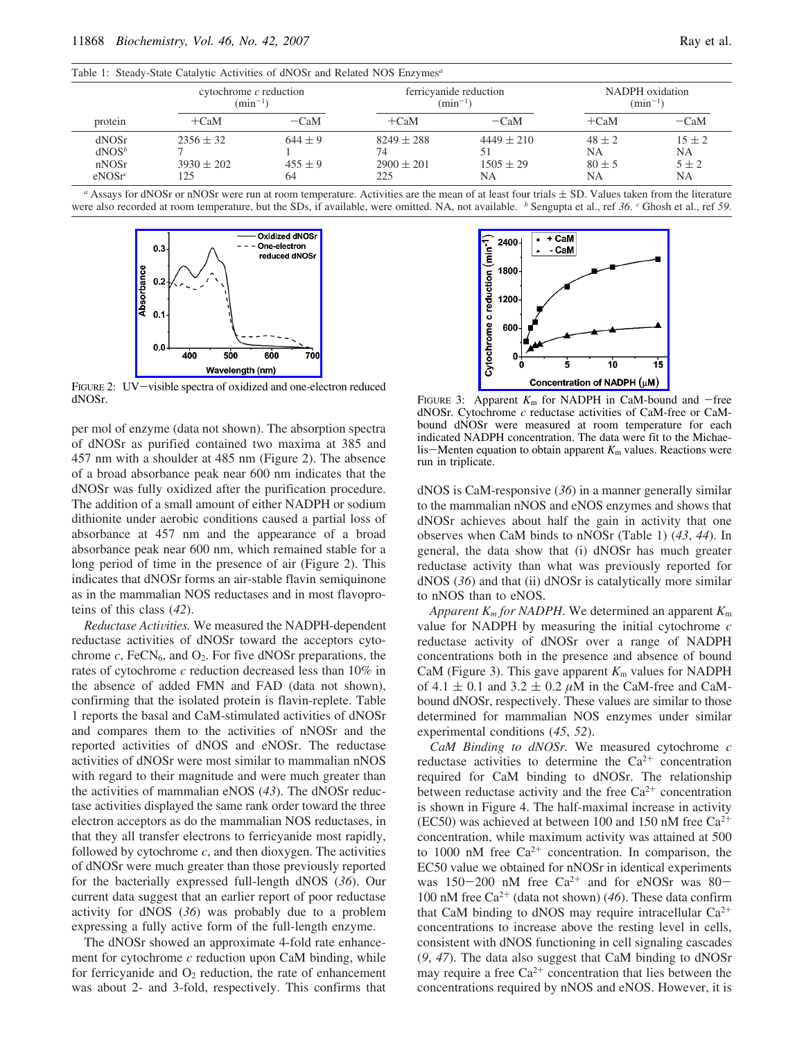|  |  | $\mathbf{u}$ |
|--|--|--------------|
|  |  |              |
|  |  |              |
|  |  |              |

|                                            | cytochrome $c$ reduction<br>$(min^{-1})$ |                                  |                                               | ferricyanide reduction<br>$(min^{-1})$ |                                      | NADPH oxidation<br>$(\text{min}^{-1})$          |  |
|--------------------------------------------|------------------------------------------|----------------------------------|-----------------------------------------------|----------------------------------------|--------------------------------------|-------------------------------------------------|--|
| protein                                    | $+CaM$                                   | $-CaM$                           | $+CaM$                                        | $-CaM$                                 | $+CaM$                               | $-CaM$                                          |  |
| dNOSr<br>$dNOS^b$<br>nNOSr<br>$e$ NOSr $c$ | $2356 \pm 32$<br>$3930 \pm 202$<br>125   | $644 \pm 9$<br>$455 \pm 9$<br>64 | $8249 \pm 288$<br>74<br>$2900 \pm 201$<br>225 | $4449 \pm 210$<br>$1505 \pm 29$<br>NA. | $48 \pm 2$<br>NA<br>$80 \pm 5$<br>NA | $15 \pm 2$<br><b>NA</b><br>$5 + 2$<br><b>NA</b> |  |

*a* Assays for dNOSr or nNOSr were run at room temperature. Activities are the mean of at least four trials  $\pm$  SD. Values taken from the literature were also recorded at room temperature, but the SDs, if available, were omitted. NA, not available. *b* Sengupta et al., ref 36. *c* Ghosh et al., ref 59.



FIGURE 2: UV-visible spectra of oxidized and one-electron reduced dNOSr.

per mol of enzyme (data not shown). The absorption spectra of dNOSr as purified contained two maxima at 385 and 457 nm with a shoulder at 485 nm (Figure 2). The absence of a broad absorbance peak near 600 nm indicates that the dNOSr was fully oxidized after the purification procedure. The addition of a small amount of either NADPH or sodium dithionite under aerobic conditions caused a partial loss of absorbance at 457 nm and the appearance of a broad absorbance peak near 600 nm, which remained stable for a long period of time in the presence of air (Figure 2). This indicates that dNOSr forms an air-stable flavin semiquinone as in the mammalian NOS reductases and in most flavoproteins of this class (*42*).

*Reductase Activities.* We measured the NADPH-dependent reductase activities of dNOSr toward the acceptors cytochrome  $c$ , FeCN<sub>6</sub>, and  $O_2$ . For five dNOSr preparations, the rates of cytochrome *c* reduction decreased less than 10% in the absence of added FMN and FAD (data not shown), confirming that the isolated protein is flavin-replete. Table 1 reports the basal and CaM-stimulated activities of dNOSr and compares them to the activities of nNOSr and the reported activities of dNOS and eNOSr. The reductase activities of dNOSr were most similar to mammalian nNOS with regard to their magnitude and were much greater than the activities of mammalian eNOS (*43*). The dNOSr reductase activities displayed the same rank order toward the three electron acceptors as do the mammalian NOS reductases, in that they all transfer electrons to ferricyanide most rapidly, followed by cytochrome  $c$ , and then dioxygen. The activities of dNOSr were much greater than those previously reported for the bacterially expressed full-length dNOS (*36*). Our current data suggest that an earlier report of poor reductase activity for dNOS (*36*) was probably due to a problem expressing a fully active form of the full-length enzyme.

The dNOSr showed an approximate 4-fold rate enhancement for cytochrome *c* reduction upon CaM binding, while for ferricyanide and  $O_2$  reduction, the rate of enhancement was about 2- and 3-fold, respectively. This confirms that



FIGURE 3: Apparent  $K_m$  for NADPH in CaM-bound and -free dNOSr. Cytochrome *c* reductase activities of CaM-free or CaMbound dNOSr were measured at room temperature for each indicated NADPH concentration. The data were fit to the Michaelis-Menten equation to obtain apparent  $K<sub>m</sub>$  values. Reactions were run in triplicate.

dNOS is CaM-responsive (*36*) in a manner generally similar to the mammalian nNOS and eNOS enzymes and shows that dNOSr achieves about half the gain in activity that one observes when CaM binds to nNOSr (Table 1) (*43*, *44*). In general, the data show that (i) dNOSr has much greater reductase activity than what was previously reported for dNOS (*36*) and that (ii) dNOSr is catalytically more similar to nNOS than to eNOS.

*Apparent K<sup>m</sup> for NADPH*. We determined an apparent *K*<sup>m</sup> value for NADPH by measuring the initial cytochrome *c* reductase activity of dNOSr over a range of NADPH concentrations both in the presence and absence of bound CaM (Figure 3). This gave apparent  $K<sub>m</sub>$  values for NADPH of 4.1  $\pm$  0.1 and 3.2  $\pm$  0.2  $\mu$ M in the CaM-free and CaMbound dNOSr, respectively. These values are similar to those determined for mammalian NOS enzymes under similar experimental conditions (*45*, *52*).

*CaM Binding to dNOSr.* We measured cytochrome *c* reductase activities to determine the  $Ca^{2+}$  concentration required for CaM binding to dNOSr. The relationship between reductase activity and the free  $Ca^{2+}$  concentration is shown in Figure 4. The half-maximal increase in activity (EC50) was achieved at between 100 and 150 nM free  $Ca^{2+}$ concentration, while maximum activity was attained at 500 to 1000 nM free  $Ca^{2+}$  concentration. In comparison, the EC50 value we obtained for nNOSr in identical experiments was  $150-200$  nM free  $Ca^{2+}$  and for eNOSr was 80-100 nM free  $Ca^{2+}$  (data not shown) (46). These data confirm that CaM binding to dNOS may require intracellular  $Ca^{2+}$ concentrations to increase above the resting level in cells, consistent with dNOS functioning in cell signaling cascades (*9*, *47*). The data also suggest that CaM binding to dNOSr may require a free  $Ca^{2+}$  concentration that lies between the concentrations required by nNOS and eNOS. However, it is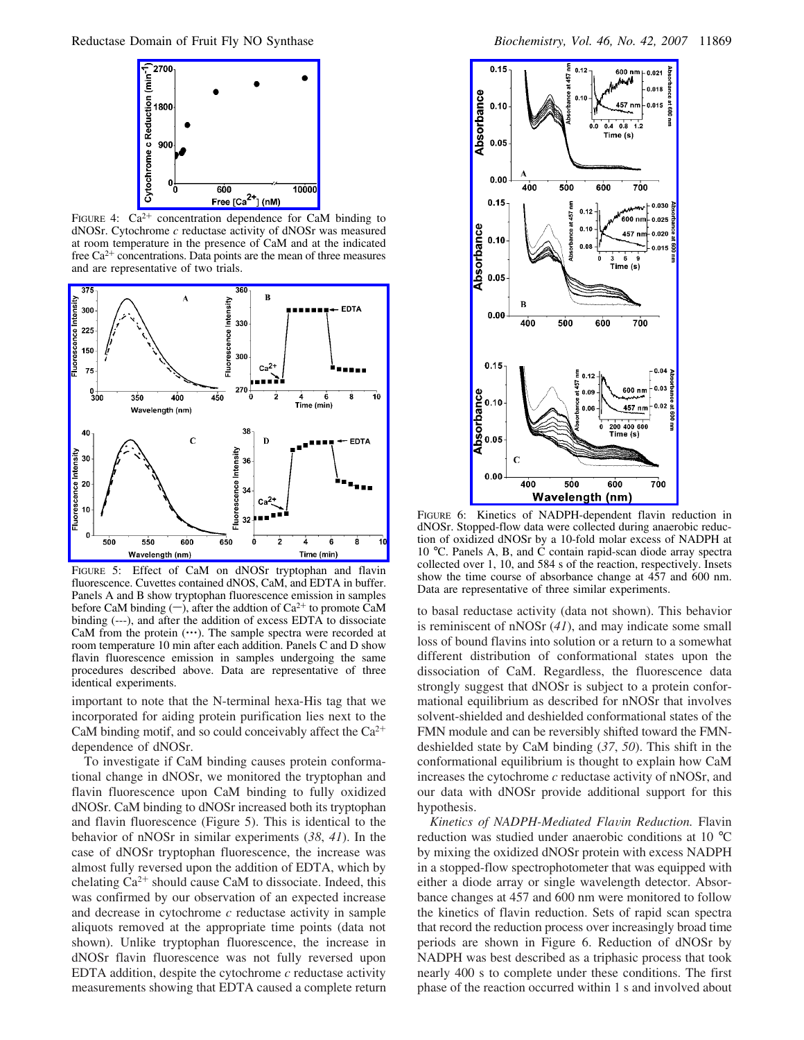

FIGURE 4:  $Ca^{2+}$  concentration dependence for CaM binding to dNOSr. Cytochrome *c* reductase activity of dNOSr was measured at room temperature in the presence of CaM and at the indicated free  $Ca^{2+}$  concentrations. Data points are the mean of three measures and are representative of two trials.



FIGURE 5: Effect of CaM on dNOSr tryptophan and flavin fluorescence. Cuvettes contained dNOS, CaM, and EDTA in buffer. Panels A and B show tryptophan fluorescence emission in samples before CaM binding  $(-)$ , after the addtion of Ca<sup>2+</sup> to promote CaM binding (---), and after the addition of excess EDTA to dissociate CaM from the protein  $(\cdots)$ . The sample spectra were recorded at room temperature 10 min after each addition. Panels C and D show flavin fluorescence emission in samples undergoing the same procedures described above. Data are representative of three identical experiments.

important to note that the N-terminal hexa-His tag that we incorporated for aiding protein purification lies next to the CaM binding motif, and so could conceivably affect the  $Ca^{2+}$ dependence of dNOSr.

To investigate if CaM binding causes protein conformational change in dNOSr, we monitored the tryptophan and flavin fluorescence upon CaM binding to fully oxidized dNOSr. CaM binding to dNOSr increased both its tryptophan and flavin fluorescence (Figure 5). This is identical to the behavior of nNOSr in similar experiments (*38*, *41*). In the case of dNOSr tryptophan fluorescence, the increase was almost fully reversed upon the addition of EDTA, which by chelating  $Ca^{2+}$  should cause CaM to dissociate. Indeed, this was confirmed by our observation of an expected increase and decrease in cytochrome *c* reductase activity in sample aliquots removed at the appropriate time points (data not shown). Unlike tryptophan fluorescence, the increase in dNOSr flavin fluorescence was not fully reversed upon EDTA addition, despite the cytochrome *c* reductase activity measurements showing that EDTA caused a complete return



FIGURE 6: Kinetics of NADPH-dependent flavin reduction in dNOSr. Stopped-flow data were collected during anaerobic reduction of oxidized dNOSr by a 10-fold molar excess of NADPH at 10 °C. Panels A, B, and C contain rapid-scan diode array spectra collected over 1, 10, and 584 s of the reaction, respectively. Insets show the time course of absorbance change at 457 and 600 nm. Data are representative of three similar experiments.

to basal reductase activity (data not shown). This behavior is reminiscent of nNOSr (*41*), and may indicate some small loss of bound flavins into solution or a return to a somewhat different distribution of conformational states upon the dissociation of CaM. Regardless, the fluorescence data strongly suggest that dNOSr is subject to a protein conformational equilibrium as described for nNOSr that involves solvent-shielded and deshielded conformational states of the FMN module and can be reversibly shifted toward the FMNdeshielded state by CaM binding (*37*, *50*). This shift in the conformational equilibrium is thought to explain how CaM increases the cytochrome *c* reductase activity of nNOSr, and our data with dNOSr provide additional support for this hypothesis.

*Kinetics of NADPH-Mediated Flavin Reduction. Flavin* reduction was studied under anaerobic conditions at 10 °C by mixing the oxidized dNOSr protein with excess NADPH in a stopped-flow spectrophotometer that was equipped with either a diode array or single wavelength detector. Absorbance changes at 457 and 600 nm were monitored to follow the kinetics of flavin reduction. Sets of rapid scan spectra that record the reduction process over increasingly broad time periods are shown in Figure 6. Reduction of dNOSr by NADPH was best described as a triphasic process that took nearly 400 s to complete under these conditions. The first phase of the reaction occurred within 1 s and involved about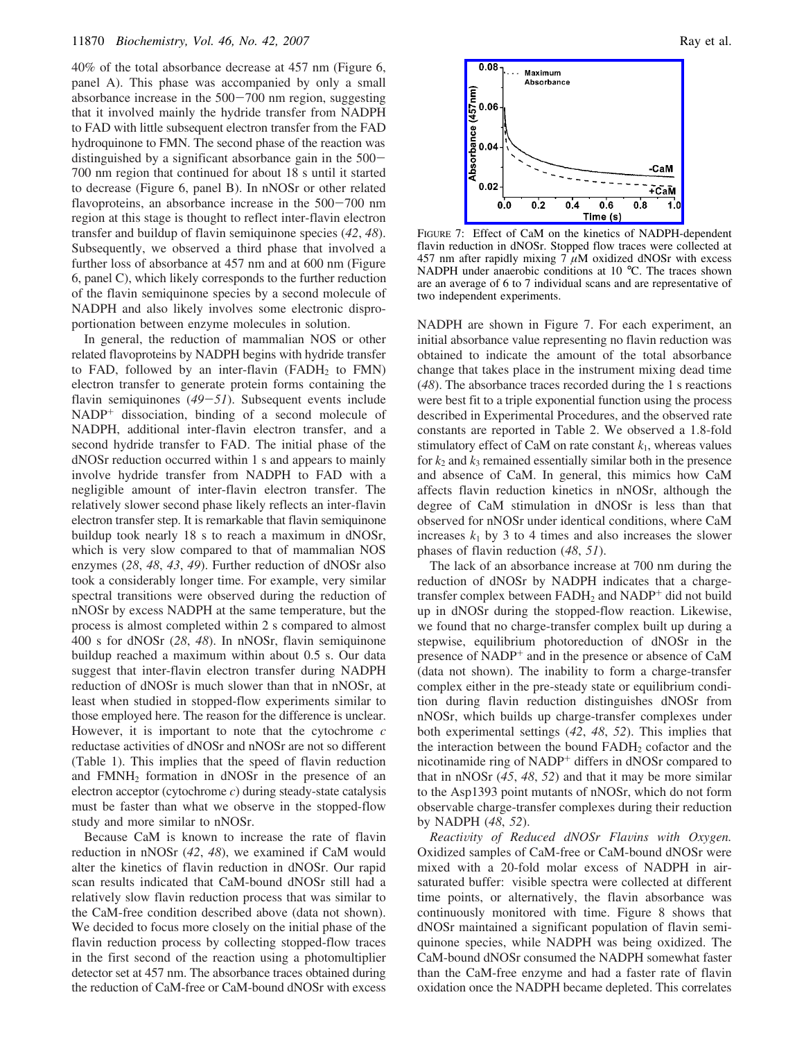40% of the total absorbance decrease at 457 nm (Figure 6, panel A). This phase was accompanied by only a small absorbance increase in the 500-700 nm region, suggesting that it involved mainly the hydride transfer from NADPH to FAD with little subsequent electron transfer from the FAD hydroquinone to FMN. The second phase of the reaction was distinguished by a significant absorbance gain in the 500- 700 nm region that continued for about 18 s until it started to decrease (Figure 6, panel B). In nNOSr or other related flavoproteins, an absorbance increase in the  $500-700$  nm region at this stage is thought to reflect inter-flavin electron transfer and buildup of flavin semiquinone species (*42*, *48*). Subsequently, we observed a third phase that involved a further loss of absorbance at 457 nm and at 600 nm (Figure 6, panel C), which likely corresponds to the further reduction of the flavin semiquinone species by a second molecule of NADPH and also likely involves some electronic disproportionation between enzyme molecules in solution.

In general, the reduction of mammalian NOS or other related flavoproteins by NADPH begins with hydride transfer to FAD, followed by an inter-flavin  $(FADH<sub>2</sub>$  to FMN) electron transfer to generate protein forms containing the flavin semiquinones (*49*-*51*). Subsequent events include NADP<sup>+</sup> dissociation, binding of a second molecule of NADPH, additional inter-flavin electron transfer, and a second hydride transfer to FAD. The initial phase of the dNOSr reduction occurred within 1 s and appears to mainly involve hydride transfer from NADPH to FAD with a negligible amount of inter-flavin electron transfer. The relatively slower second phase likely reflects an inter-flavin electron transfer step. It is remarkable that flavin semiquinone buildup took nearly 18 s to reach a maximum in dNOSr, which is very slow compared to that of mammalian NOS enzymes (*28*, *48*, *43*, *49*). Further reduction of dNOSr also took a considerably longer time. For example, very similar spectral transitions were observed during the reduction of nNOSr by excess NADPH at the same temperature, but the process is almost completed within 2 s compared to almost 400 s for dNOSr (*28*, *48*). In nNOSr, flavin semiquinone buildup reached a maximum within about 0.5 s. Our data suggest that inter-flavin electron transfer during NADPH reduction of dNOSr is much slower than that in nNOSr, at least when studied in stopped-flow experiments similar to those employed here. The reason for the difference is unclear. However, it is important to note that the cytochrome *c* reductase activities of dNOSr and nNOSr are not so different (Table 1). This implies that the speed of flavin reduction and FMNH<sup>2</sup> formation in dNOSr in the presence of an electron acceptor (cytochrome *c*) during steady-state catalysis must be faster than what we observe in the stopped-flow study and more similar to nNOSr.

Because CaM is known to increase the rate of flavin reduction in nNOSr (*42*, *48*), we examined if CaM would alter the kinetics of flavin reduction in dNOSr. Our rapid scan results indicated that CaM-bound dNOSr still had a relatively slow flavin reduction process that was similar to the CaM-free condition described above (data not shown). We decided to focus more closely on the initial phase of the flavin reduction process by collecting stopped-flow traces in the first second of the reaction using a photomultiplier detector set at 457 nm. The absorbance traces obtained during the reduction of CaM-free or CaM-bound dNOSr with excess



FIGURE 7: Effect of CaM on the kinetics of NADPH-dependent flavin reduction in dNOSr. Stopped flow traces were collected at 457 nm after rapidly mixing 7  $\mu$ M oxidized dNOSr with excess NADPH under anaerobic conditions at 10 °C. The traces shown are an average of 6 to 7 individual scans and are representative of two independent experiments.

NADPH are shown in Figure 7. For each experiment, an initial absorbance value representing no flavin reduction was obtained to indicate the amount of the total absorbance change that takes place in the instrument mixing dead time (*48*). The absorbance traces recorded during the 1 s reactions were best fit to a triple exponential function using the process described in Experimental Procedures, and the observed rate constants are reported in Table 2. We observed a 1.8-fold stimulatory effect of CaM on rate constant  $k_1$ , whereas values for  $k_2$  and  $k_3$  remained essentially similar both in the presence and absence of CaM. In general, this mimics how CaM affects flavin reduction kinetics in nNOSr, although the degree of CaM stimulation in dNOSr is less than that observed for nNOSr under identical conditions, where CaM increases  $k_1$  by 3 to 4 times and also increases the slower phases of flavin reduction (*48*, *51*).

The lack of an absorbance increase at 700 nm during the reduction of dNOSr by NADPH indicates that a chargetransfer complex between  $FADH_2$  and  $NADP^+$  did not build up in dNOSr during the stopped-flow reaction. Likewise, we found that no charge-transfer complex built up during a stepwise, equilibrium photoreduction of dNOSr in the presence of NADP<sup>+</sup> and in the presence or absence of CaM (data not shown). The inability to form a charge-transfer complex either in the pre-steady state or equilibrium condition during flavin reduction distinguishes dNOSr from nNOSr, which builds up charge-transfer complexes under both experimental settings (*42*, *48*, *52*). This implies that the interaction between the bound FADH<sub>2</sub> cofactor and the nicotinamide ring of NADP<sup>+</sup> differs in dNOSr compared to that in nNOSr (*45*, *48*, *52*) and that it may be more similar to the Asp1393 point mutants of nNOSr, which do not form observable charge-transfer complexes during their reduction by NADPH (*48*, *52*).

*Reactivity of Reduced dNOSr Flavins with Oxygen.* Oxidized samples of CaM-free or CaM-bound dNOSr were mixed with a 20-fold molar excess of NADPH in airsaturated buffer: visible spectra were collected at different time points, or alternatively, the flavin absorbance was continuously monitored with time. Figure 8 shows that dNOSr maintained a significant population of flavin semiquinone species, while NADPH was being oxidized. The CaM-bound dNOSr consumed the NADPH somewhat faster than the CaM-free enzyme and had a faster rate of flavin oxidation once the NADPH became depleted. This correlates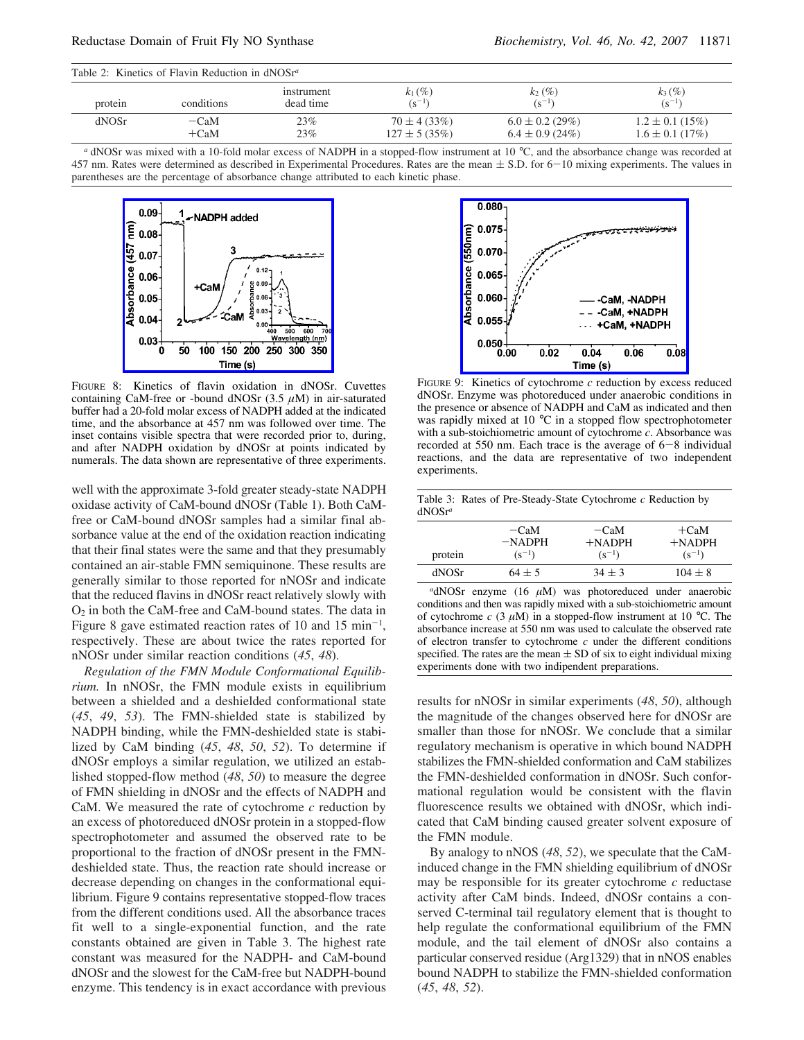| Table 2: Kinetics of Flavin Reduction in $dNOSr^a$ |                  |                         |                                       |                                             |                                            |
|----------------------------------------------------|------------------|-------------------------|---------------------------------------|---------------------------------------------|--------------------------------------------|
| protein                                            | conditions       | instrument<br>dead time | $k_1$ (%)<br>$(s^{-1})$               | $k_2 (\%)$<br>$(s^{-1})$                    | $k_3$ (%)<br>$(s^{-1})$                    |
| dNOSr                                              | $-CaM$<br>$+CaM$ | 23%<br>23%              | $70 \pm 4(33\%)$<br>$127 \pm 5(35\%)$ | $6.0 \pm 0.2$ (29%)<br>$6.4 \pm 0.9$ (24\%) | $1.2 \pm 0.1$ (15%)<br>$1.6 \pm 0.1$ (17%) |

*<sup>a</sup>* dNOSr was mixed with a 10-fold molar excess of NADPH in a stopped-flow instrument at 10 °C, and the absorbance change was recorded at 457 nm. Rates were determined as described in Experimental Procedures. Rates are the mean  $\pm$  S.D. for 6-10 mixing experiments. The values in parentheses are the percentage of absorbance change attributed to each kinetic phase.



FIGURE 8: Kinetics of flavin oxidation in dNOSr. Cuvettes containing CaM-free or -bound dNOSr  $(3.5 \mu M)$  in air-saturated buffer had a 20-fold molar excess of NADPH added at the indicated time, and the absorbance at 457 nm was followed over time. The inset contains visible spectra that were recorded prior to, during, and after NADPH oxidation by dNOSr at points indicated by numerals. The data shown are representative of three experiments.

well with the approximate 3-fold greater steady-state NADPH oxidase activity of CaM-bound dNOSr (Table 1). Both CaMfree or CaM-bound dNOSr samples had a similar final absorbance value at the end of the oxidation reaction indicating that their final states were the same and that they presumably contained an air-stable FMN semiquinone. These results are generally similar to those reported for nNOSr and indicate that the reduced flavins in dNOSr react relatively slowly with  $O_2$  in both the CaM-free and CaM-bound states. The data in Figure 8 gave estimated reaction rates of 10 and 15  $min^{-1}$ , respectively. These are about twice the rates reported for nNOSr under similar reaction conditions (*45*, *48*).

*Regulation of the FMN Module Conformational Equilibrium.* In nNOSr, the FMN module exists in equilibrium between a shielded and a deshielded conformational state (*45*, *49*, *53*). The FMN-shielded state is stabilized by NADPH binding, while the FMN-deshielded state is stabilized by CaM binding (*45*, *48*, *50*, *52*). To determine if dNOSr employs a similar regulation, we utilized an established stopped-flow method (*48*, *50*) to measure the degree of FMN shielding in dNOSr and the effects of NADPH and CaM. We measured the rate of cytochrome *c* reduction by an excess of photoreduced dNOSr protein in a stopped-flow spectrophotometer and assumed the observed rate to be proportional to the fraction of dNOSr present in the FMNdeshielded state. Thus, the reaction rate should increase or decrease depending on changes in the conformational equilibrium. Figure 9 contains representative stopped-flow traces from the different conditions used. All the absorbance traces fit well to a single-exponential function, and the rate constants obtained are given in Table 3. The highest rate constant was measured for the NADPH- and CaM-bound dNOSr and the slowest for the CaM-free but NADPH-bound enzyme. This tendency is in exact accordance with previous



FIGURE 9: Kinetics of cytochrome *c* reduction by excess reduced dNOSr. Enzyme was photoreduced under anaerobic conditions in the presence or absence of NADPH and CaM as indicated and then was rapidly mixed at 10 °C in a stopped flow spectrophotometer with a sub-stoichiometric amount of cytochrome *c*. Absorbance was recorded at 550 nm. Each trace is the average of 6-8 individual reactions, and the data are representative of two independent experiments.

| $dNOSr^a$ |                                  | Table 3: Rates of Pre-Steady-State Cytochrome $c$ Reduction by |                                   |
|-----------|----------------------------------|----------------------------------------------------------------|-----------------------------------|
| protein   | $-CaM$<br>$-NADPH$<br>$(s^{-1})$ | $-CaM$<br>$+$ NADPH<br>$(s^{-1})$                              | $+CaM$<br>$+$ NADPH<br>$(s^{-1})$ |
| dNOSr     | $64 \pm 5$                       | $34 \pm 3$                                                     | $104 \pm 8$                       |

*<sup>a</sup>*dNOSr enzyme (16 µM) was photoreduced under anaerobic conditions and then was rapidly mixed with a sub-stoichiometric amount of cytochrome  $c$  (3  $\mu$ M) in a stopped-flow instrument at 10 °C. The absorbance increase at 550 nm was used to calculate the observed rate of electron transfer to cytochrome *c* under the different conditions specified. The rates are the mean  $\pm$  SD of six to eight individual mixing experiments done with two indipendent preparations.

results for nNOSr in similar experiments (*48*, *50*), although the magnitude of the changes observed here for dNOSr are smaller than those for nNOSr. We conclude that a similar regulatory mechanism is operative in which bound NADPH stabilizes the FMN-shielded conformation and CaM stabilizes the FMN-deshielded conformation in dNOSr. Such conformational regulation would be consistent with the flavin fluorescence results we obtained with dNOSr, which indicated that CaM binding caused greater solvent exposure of the FMN module.

By analogy to nNOS (*48*, *52*), we speculate that the CaMinduced change in the FMN shielding equilibrium of dNOSr may be responsible for its greater cytochrome *c* reductase activity after CaM binds. Indeed, dNOSr contains a conserved C-terminal tail regulatory element that is thought to help regulate the conformational equilibrium of the FMN module, and the tail element of dNOSr also contains a particular conserved residue (Arg1329) that in nNOS enables bound NADPH to stabilize the FMN-shielded conformation (*45*, *48*, *52*).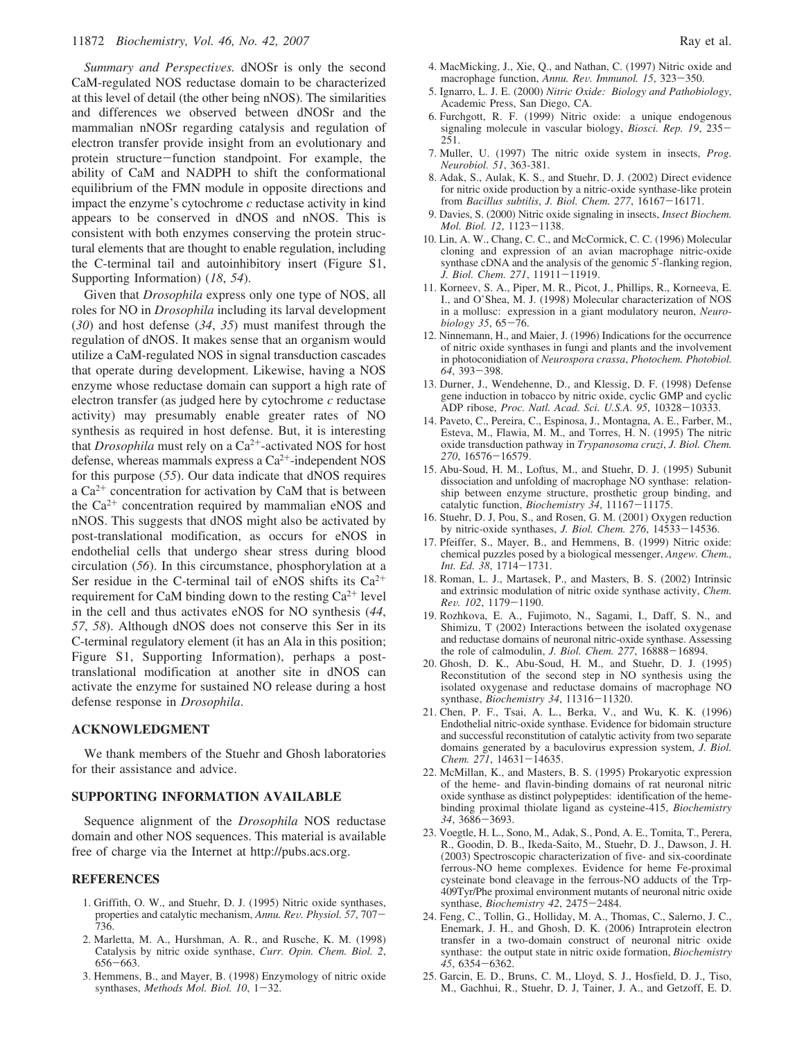*Summary and Perspectives.* dNOSr is only the second CaM-regulated NOS reductase domain to be characterized at this level of detail (the other being nNOS). The similarities and differences we observed between dNOSr and the mammalian nNOSr regarding catalysis and regulation of electron transfer provide insight from an evolutionary and protein structure-function standpoint. For example, the ability of CaM and NADPH to shift the conformational equilibrium of the FMN module in opposite directions and impact the enzyme's cytochrome *c* reductase activity in kind appears to be conserved in dNOS and nNOS. This is consistent with both enzymes conserving the protein structural elements that are thought to enable regulation, including the C-terminal tail and autoinhibitory insert (Figure S1, Supporting Information) (*18*, *54*).

Given that *Drosophila* express only one type of NOS, all roles for NO in *Drosophila* including its larval development (*30*) and host defense (*34*, *35*) must manifest through the regulation of dNOS. It makes sense that an organism would utilize a CaM-regulated NOS in signal transduction cascades that operate during development. Likewise, having a NOS enzyme whose reductase domain can support a high rate of electron transfer (as judged here by cytochrome *c* reductase activity) may presumably enable greater rates of NO synthesis as required in host defense. But, it is interesting that *Drosophila* must rely on a  $Ca^{2+}$ -activated NOS for host defense, whereas mammals express a  $Ca^{2+}$ -independent NOS for this purpose (*55*). Our data indicate that dNOS requires a  $Ca^{2+}$  concentration for activation by CaM that is between the  $Ca^{2+}$  concentration required by mammalian eNOS and nNOS. This suggests that dNOS might also be activated by post-translational modification, as occurs for eNOS in endothelial cells that undergo shear stress during blood circulation (*56*). In this circumstance, phosphorylation at a Ser residue in the C-terminal tail of eNOS shifts its  $Ca^{2+}$ requirement for CaM binding down to the resting  $Ca^{2+}$  level in the cell and thus activates eNOS for NO synthesis (*44*, *57*, *58*). Although dNOS does not conserve this Ser in its C-terminal regulatory element (it has an Ala in this position; Figure S1, Supporting Information), perhaps a posttranslational modification at another site in dNOS can activate the enzyme for sustained NO release during a host defense response in *Drosophila*.

## **ACKNOWLEDGMENT**

We thank members of the Stuehr and Ghosh laboratories for their assistance and advice.

## **SUPPORTING INFORMATION AVAILABLE**

Sequence alignment of the *Drosophila* NOS reductase domain and other NOS sequences. This material is available free of charge via the Internet at http://pubs.acs.org.

#### **REFERENCES**

- 1. Griffith, O. W., and Stuehr, D. J. (1995) Nitric oxide synthases, properties and catalytic mechanism, *Annu. Re*V*. Physiol. 57*, 707- 736.
- 2. Marletta, M. A., Hurshman, A. R., and Rusche, K. M. (1998) Catalysis by nitric oxide synthase, *Curr. Opin. Chem. Biol. 2*, 656-663.
- 3. Hemmens, B., and Mayer, B. (1998) Enzymology of nitric oxide synthases, *Methods Mol. Biol. 10*, 1-32.
- 4. MacMicking, J., Xie, Q., and Nathan, C. (1997) Nitric oxide and macrophage function, *Annu. Re*V*. Immunol. 15*, 323-350.
- 5. Ignarro, L. J. E. (2000) *Nitric Oxide: Biology and Pathobiology*, Academic Press, San Diego, CA.
- 6. Furchgott, R. F. (1999) Nitric oxide: a unique endogenous signaling molecule in vascular biology, *Biosci. Rep. 19*, 235- 251.
- 7. Muller, U. (1997) The nitric oxide system in insects, *Prog. Neurobiol. 51*, 363-381.
- 8. Adak, S., Aulak, K. S., and Stuehr, D. J. (2002) Direct evidence for nitric oxide production by a nitric-oxide synthase-like protein from *Bacillus subtilis*, *J. Biol. Chem. 277*, 16167-16171.
- 9. Davies, S. (2000) Nitric oxide signaling in insects, *Insect Biochem. Mol. Biol. 12*, 1123-1138.
- 10. Lin, A. W., Chang, C. C., and McCormick, C. C. (1996) Molecular cloning and expression of an avian macrophage nitric-oxide synthase cDNA and the analysis of the genomic 5'-flanking region, *J. Biol. Chem. 271*, 11911-11919.
- 11. Korneev, S. A., Piper, M. R., Picot, J., Phillips, R., Korneeva, E. I., and O'Shea, M. J. (1998) Molecular characterization of NOS in a mollusc: expression in a giant modulatory neuron, *Neurobiology 35*, 65-76.
- 12. Ninnemann, H., and Maier, J. (1996) Indications for the occurrence of nitric oxide synthases in fungi and plants and the involvement in photoconidiation of *Neurospora crassa*, *Photochem. Photobiol. 64*, 393-398.
- 13. Durner, J., Wendehenne, D., and Klessig, D. F. (1998) Defense gene induction in tobacco by nitric oxide, cyclic GMP and cyclic ADP ribose, *Proc. Natl. Acad. Sci. U.S.A. 95*, 10328-10333.
- 14. Paveto, C., Pereira, C., Espinosa, J., Montagna, A. E., Farber, M., Esteva, M., Flawia, M. M., and Torres, H. N. (1995) The nitric oxide transduction pathway in *Trypanosoma cruzi*, *J. Biol. Chem. 270*, 16576-16579.
- 15. Abu-Soud, H. M., Loftus, M., and Stuehr, D. J. (1995) Subunit dissociation and unfolding of macrophage NO synthase: relationship between enzyme structure, prosthetic group binding, and catalytic function, *Biochemistry 34*, 11167-11175.
- 16. Stuehr, D. J, Pou, S., and Rosen, G. M. (2001) Oxygen reduction by nitric-oxide synthases, *J. Biol. Chem. 276*, 14533-14536.
- 17. Pfeiffer, S., Mayer, B., and Hemmens, B. (1999) Nitric oxide: chemical puzzles posed by a biological messenger, *Angew. Chem., Int. Ed. 38*, 1714-1731.
- 18. Roman, L. J., Martasek, P., and Masters, B. S. (2002) Intrinsic and extrinsic modulation of nitric oxide synthase activity, *Chem. Re*V*. 102*, 1179-1190.
- 19. Rozhkova, E. A., Fujimoto, N., Sagami, I., Daff, S. N., and Shimizu, T (2002) Interactions between the isolated oxygenase and reductase domains of neuronal nitric-oxide synthase. Assessing the role of calmodulin, *J. Biol. Chem. 277*, 16888-16894.
- 20. Ghosh, D. K., Abu-Soud, H. M., and Stuehr, D. J. (1995) Reconstitution of the second step in NO synthesis using the isolated oxygenase and reductase domains of macrophage NO synthase, *Biochemistry 34*, 11316-11320.
- 21. Chen, P. F., Tsai, A. L., Berka, V., and Wu, K. K. (1996) Endothelial nitric-oxide synthase. Evidence for bidomain structure and successful reconstitution of catalytic activity from two separate domains generated by a baculovirus expression system, *J. Biol. Chem. 271*, 14631-14635.
- 22. McMillan, K., and Masters, B. S. (1995) Prokaryotic expression of the heme- and flavin-binding domains of rat neuronal nitric oxide synthase as distinct polypeptides: identification of the hemebinding proximal thiolate ligand as cysteine-415, *Biochemistry 34*, 3686-3693.
- 23. Voegtle, H. L., Sono, M., Adak, S., Pond, A. E., Tomita, T., Perera, R., Goodin, D. B., Ikeda-Saito, M., Stuehr, D. J., Dawson, J. H. (2003) Spectroscopic characterization of five- and six-coordinate ferrous-NO heme complexes. Evidence for heme Fe-proximal cysteinate bond cleavage in the ferrous-NO adducts of the Trp-409Tyr/Phe proximal environment mutants of neuronal nitric oxide synthase, *Biochemistry 42*, 2475-2484.
- 24. Feng, C., Tollin, G., Holliday, M. A., Thomas, C., Salerno, J. C., Enemark, J. H., and Ghosh, D. K. (2006) Intraprotein electron transfer in a two-domain construct of neuronal nitric oxide synthase: the output state in nitric oxide formation, *Biochemistry 45*, 6354-6362.
- 25. Garcin, E. D., Bruns, C. M., Lloyd, S. J., Hosfield, D. J., Tiso, M., Gachhui, R., Stuehr, D. J, Tainer, J. A., and Getzoff, E. D.